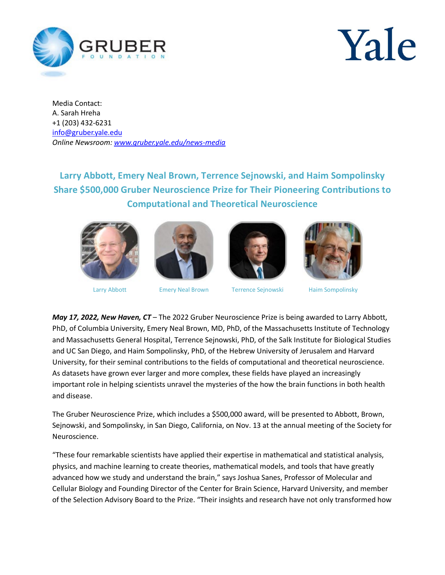

## Yale

Media Contact: A. Sarah Hreha +1 (203) 432-6231 [info@gruber.yale.edu](mailto:media@gruberprizes.org) *Online Newsroom: [www.gruber.yale.edu/news-media](http://www.gruber.yale.edu/news-media)* 

## **Larry Abbott, Emery Neal Brown, Terrence Sejnowski, and Haim Sompolinsky Share \$500,000 Gruber Neuroscience Prize for Their Pioneering Contributions to Computational and Theoretical Neuroscience**









Larry Abbott Emery Neal Brown Terrence Sejnowski Haim Sompolinsky

*May 17, 2022, New Haven, CT* – The 2022 Gruber Neuroscience Prize is being awarded to Larry Abbott, PhD, of Columbia University, Emery Neal Brown, MD, PhD, of the Massachusetts Institute of Technology and Massachusetts General Hospital, Terrence Sejnowski, PhD, of the Salk Institute for Biological Studies and UC San Diego, and Haim Sompolinsky, PhD, of the Hebrew University of Jerusalem and Harvard University, for their seminal contributions to the fields of computational and theoretical neuroscience. As datasets have grown ever larger and more complex, these fields have played an increasingly important role in helping scientists unravel the mysteries of the how the brain functions in both health and disease.

The Gruber Neuroscience Prize, which includes a \$500,000 award, will be presented to Abbott, Brown, Sejnowski, and Sompolinsky, in San Diego, California, on Nov. 13 at the annual meeting of the Society for Neuroscience.

"These four remarkable scientists have applied their expertise in mathematical and statistical analysis, physics, and machine learning to create theories, mathematical models, and tools that have greatly advanced how we study and understand the brain," says Joshua Sanes, Professor of Molecular and Cellular Biology and Founding Director of the Center for Brain Science, Harvard University, and member of the Selection Advisory Board to the Prize. "Their insights and research have not only transformed how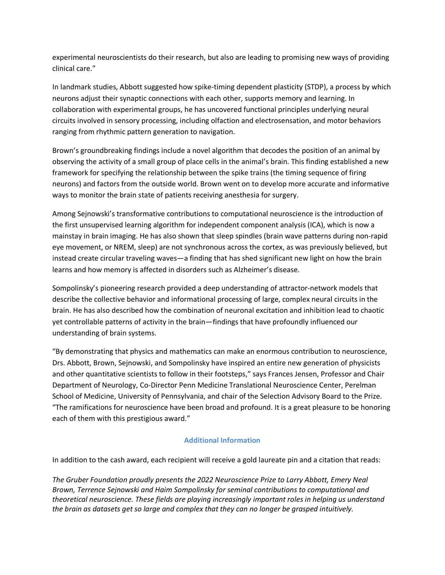experimental neuroscientists do their research, but also are leading to promising new ways of providing clinical care."

In landmark studies, Abbott suggested how spike-timing dependent plasticity (STDP), a process by which neurons adjust their synaptic connections with each other, supports memory and learning. In collaboration with experimental groups, he has uncovered functional principles underlying neural circuits involved in sensory processing, including olfaction and electrosensation, and motor behaviors ranging from rhythmic pattern generation to navigation.

Brown's groundbreaking findings include a novel algorithm that decodes the position of an animal by observing the activity of a small group of place cells in the animal's brain. This finding established a new framework for specifying the relationship between the spike trains (the timing sequence of firing neurons) and factors from the outside world. Brown went on to develop more accurate and informative ways to monitor the brain state of patients receiving anesthesia for surgery.

Among Sejnowski's transformative contributions to computational neuroscience is the introduction of the first unsupervised learning algorithm for independent component analysis (ICA), which is now a mainstay in brain imaging. He has also shown that sleep spindles (brain wave patterns during non-rapid eye movement, or NREM, sleep) are not synchronous across the cortex, as was previously believed, but instead create circular traveling waves—a finding that has shed significant new light on how the brain learns and how memory is affected in disorders such as Alzheimer's disease.

Sompolinsky's pioneering research provided a deep understanding of attractor-network models that describe the collective behavior and informational processing of large, complex neural circuits in the brain. He has also described how the combination of neuronal excitation and inhibition lead to chaotic yet controllable patterns of activity in the brain—findings that have profoundly influenced our understanding of brain systems.

"By demonstrating that physics and mathematics can make an enormous contribution to neuroscience, Drs. Abbott, Brown, Sejnowski, and Sompolinsky have inspired an entire new generation of physicists and other quantitative scientists to follow in their footsteps," says Frances Jensen, Professor and Chair Department of Neurology, Co-Director Penn Medicine Translational Neuroscience Center, Perelman School of Medicine, University of Pennsylvania, and chair of the Selection Advisory Board to the Prize. "The ramifications for neuroscience have been broad and profound. It is a great pleasure to be honoring each of them with this prestigious award."

## **Additional Information**

In addition to the cash award, each recipient will receive a gold laureate pin and a citation that reads:

*The Gruber Foundation proudly presents the 2022 Neuroscience Prize to Larry Abbott, Emery Neal Brown, Terrence Sejnowski and Haim Sompolinsky for seminal contributions to computational and theoretical neuroscience. These fields are playing increasingly important roles in helping us understand the brain as datasets get so large and complex that they can no longer be grasped intuitively.*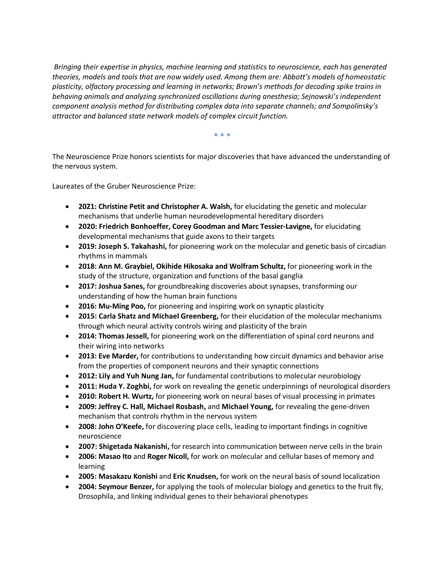*Bringing their expertise in physics, machine learning and statistics to neuroscience, each has generated theories, models and tools that are now widely used. Among them are: Abbott's models of homeostatic plasticity, olfactory processing and learning in networks; Brown's methods for decoding spike trains in behaving animals and analyzing synchronized oscillations during anesthesia; Sejnowski's independent component analysis method for distributing complex data into separate channels; and Sompolinsky's attractor and balanced state network models of complex circuit function.*

**\* \* \***

The Neuroscience Prize honors scientists for major discoveries that have advanced the understanding of the nervous system.

Laureates of the Gruber Neuroscience Prize:

- **2021: Christine Petit and Christopher A. Walsh,** for elucidating the genetic and molecular mechanisms that underlie human neurodevelopmental hereditary disorders
- **2020: Friedrich Bonhoeffer, Corey Goodman and Marc Tessier-Lavigne,** for elucidating developmental mechanisms that guide axons to their targets
- **2019: Joseph S. Takahashi,** for pioneering work on the molecular and genetic basis of circadian rhythms in mammals
- **2018: Ann M. Graybiel, Okihide Hikosaka and Wolfram Schultz,** for pioneering work in the study of the structure, organization and functions of the basal ganglia
- **2017: Joshua Sanes,** for groundbreaking discoveries about synapses, transforming our understanding of how the human brain functions
- **2016: Mu-Ming Poo,** for pioneering and inspiring work on synaptic plasticity
- **2015: Carla Shatz and Michael Greenberg,** for their elucidation of the molecular mechanisms through which neural activity controls wiring and plasticity of the brain
- **2014: Thomas Jessell,** for pioneering work on the differentiation of spinal cord neurons and their wiring into networks
- **2013: Eve Marder,** for contributions to understanding how circuit dynamics and behavior arise from the properties of component neurons and their synaptic connections
- **2012: Lily and Yuh Nung Jan,** for fundamental contributions to molecular neurobiology
- **2011: Huda Y. Zoghbi,** for work on revealing the genetic underpinnings of neurological disorders
- **2010: Robert H. Wurtz,** for pioneering work on neural bases of visual processing in primates
- **2009: Jeffrey C. Hall, Michael Rosbash,** and **Michael Young,** for revealing the gene-driven mechanism that controls rhythm in the nervous system
- **2008: John O'Keefe,** for discovering place cells, leading to important findings in cognitive neuroscience
- **2007: Shigetada Nakanishi,** for research into communication between nerve cells in the brain
- **2006: Masao Ito** and **Roger Nicoll,** for work on molecular and cellular bases of memory and learning
- **2005: Masakazu Konishi** and **Eric Knudsen,** for work on the neural basis of sound localization
- **2004: Seymour Benzer,** for applying the tools of molecular biology and genetics to the fruit fly, Drosophila, and linking individual genes to their behavioral phenotypes